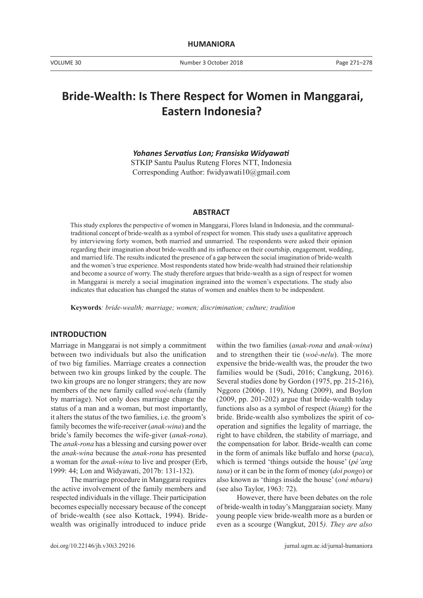# **Bride-Wealth: Is There Respect for Women in Manggarai, Eastern Indonesia?**

*Yohanes Servatius Lon; Fransiska Widyawati*

STKIP Santu Paulus Ruteng Flores NTT, Indonesia Corresponding Author: fwidyawati10@gmail.com

#### **ABSTRACT**

This study explores the perspective of women in Manggarai, Flores Island in Indonesia, and the communaltraditional concept of bride-wealth as a symbol of respect for women. This study uses a qualitative approach by interviewing forty women, both married and unmarried. The respondents were asked their opinion regarding their imagination about bride-wealth and its influence on their courtship, engagement, wedding, and married life. The results indicated the presence of a gap between the social imagination of bride-wealth and the women's true experience. Most respondents stated how bride-wealth had strained their relationship and become a source of worry. The study therefore argues that bride-wealth as a sign of respect for women in Manggarai is merely a social imagination ingrained into the women's expectations. The study also indicates that education has changed the status of women and enables them to be independent.

**Keywords***: bride-wealth; marriage; women; discrimination; culture; tradition* 

#### **INTRODUCTION**

Marriage in Manggarai is not simply a commitment between two individuals but also the unification of two big families. Marriage creates a connection between two kin groups linked by the couple. The two kin groups are no longer strangers; they are now members of the new family called *woé-nelu* (family by marriage). Not only does marriage change the status of a man and a woman, but most importantly, it alters the status of the two families, i.e. the groom's family becomes the wife-receiver (*anak-wina*) and the bride's family becomes the wife-giver (*anak-rona*). The *anak-rona* has a blessing and cursing power over the *anak-wina* because the *anak-rona* has presented a woman for the *anak-wina* to live and prosper (Erb, 1999: 44; Lon and Widyawati, 2017b: 131-132).

The marriage procedure in Manggarai requires the active involvement of the family members and respected individuals in the village. Their participation becomes especially necessary because of the concept of bride-wealth (see also Kottack, 1994). Bridewealth was originally introduced to induce pride

within the two families (*anak-rona* and *anak-wina*) and to strengthen their tie (*woé-nelu*). The more expensive the bride-wealth was, the prouder the two families would be (Sudi, 2016; Cangkung, 2016). Several studies done by Gordon (1975, pp. 215-216), Nggoro (2006p. 119), Ndung (2009), and Boylon (2009, pp. 201-202) argue that bride-wealth today functions also as a symbol of respect (*hiang*) for the bride. Bride-wealth also symbolizes the spirit of cooperation and signifies the legality of marriage, the right to have children, the stability of marriage, and the compensation for labor. Bride-wealth can come in the form of animals like buffalo and horse (*paca*), which is termed 'things outside the house' (*pé'ang tana*) or it can be in the form of money (*doi pongo*) or also known as 'things inside the house' (*oné mbaru*) (see also Taylor, 1963: 72).

However, there have been debates on the role of bride-wealth in today's Manggaraian society. Many young people view bride-wealth more as a burden or even as a scourge (Wangkut, 2015*). They are also*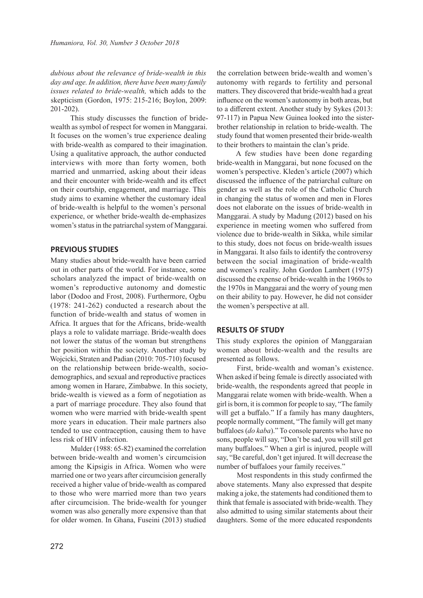*dubious about the relevance of bride-wealth in this day and age. In addition, there have been many family issues related to bride-wealth,* which adds to the skepticism (Gordon, 1975: 215-216; Boylon, 2009: 201-202).

This study discusses the function of bridewealth as symbol of respect for women in Manggarai. It focuses on the women's true experience dealing with bride-wealth as compared to their imagination. Using a qualitative approach, the author conducted interviews with more than forty women, both married and unmarried, asking about their ideas and their encounter with bride-wealth and its effect on their courtship, engagement, and marriage. This study aims to examine whether the customary ideal of bride-wealth is helpful to the women's personal experience, or whether bride-wealth de-emphasizes women's status in the patriarchal system of Manggarai.

#### **PREVIOUS STUDIES**

Many studies about bride-wealth have been carried out in other parts of the world. For instance, some scholars analyzed the impact of bride-wealth on women's reproductive autonomy and domestic labor (Dodoo and Frost, 2008). Furthermore, Ogbu (1978: 241-262) conducted a research about the function of bride-wealth and status of women in Africa. It argues that for the Africans, bride-wealth plays a role to validate marriage. Bride-wealth does not lower the status of the woman but strengthens her position within the society. Another study by Wojcicki, Straten and Padian (2010: 705-710) focused on the relationship between bride-wealth, sociodemographics, and sexual and reproductive practices among women in Harare, Zimbabwe. In this society, bride-wealth is viewed as a form of negotiation as a part of marriage procedure. They also found that women who were married with bride-wealth spent more years in education. Their male partners also tended to use contraception, causing them to have less risk of HIV infection.

Mulder (1988: 65-82) examined the correlation between bride-wealth and women's circumcision among the Kipsigis in Africa. Women who were married one or two years after circumcision generally received a higher value of bride-wealth as compared to those who were married more than two years after circumcision. The bride-wealth for younger women was also generally more expensive than that for older women. In Ghana, Fuseini (2013) studied the correlation between bride-wealth and women's autonomy with regards to fertility and personal matters. They discovered that bride-wealth had a great influence on the women's autonomy in both areas, but to a different extent. Another study by Sykes (2013: 97-117) in Papua New Guinea looked into the sisterbrother relationship in relation to bride-wealth. The study found that women presented their bride-wealth to their brothers to maintain the clan's pride.

A few studies have been done regarding bride-wealth in Manggarai, but none focused on the women's perspective. Kleden's article (2007) which discussed the influence of the patriarchal culture on gender as well as the role of the Catholic Church in changing the status of women and men in Flores does not elaborate on the issues of bride-wealth in Manggarai. A study by Madung (2012) based on his experience in meeting women who suffered from violence due to bride-wealth in Sikka, while similar to this study, does not focus on bride-wealth issues in Manggarai. It also fails to identify the controversy between the social imagination of bride-wealth and women's reality. John Gordon Lambert (1975) discussed the expense of bride-wealth in the 1960s to the 1970s in Manggarai and the worry of young men on their ability to pay. However, he did not consider the women's perspective at all.

#### **RESULTS OF STUDY**

This study explores the opinion of Manggaraian women about bride-wealth and the results are presented as follows.

First, bride-wealth and woman's existence. When asked if being female is directly associated with bride-wealth, the respondents agreed that people in Manggarai relate women with bride-wealth. When a girl is born, it is common for people to say, "The family will get a buffalo." If a family has many daughters, people normally comment, "The family will get many buffaloes (*do kaba*)." To console parents who have no sons, people will say, "Don't be sad, you will still get many buffaloes." When a girl is injured, people will say, "Be careful, don't get injured. It will decrease the number of buffaloes your family receives."

Most respondents in this study confirmed the above statements. Many also expressed that despite making a joke, the statements had conditioned them to think that female is associated with bride-wealth. They also admitted to using similar statements about their daughters. Some of the more educated respondents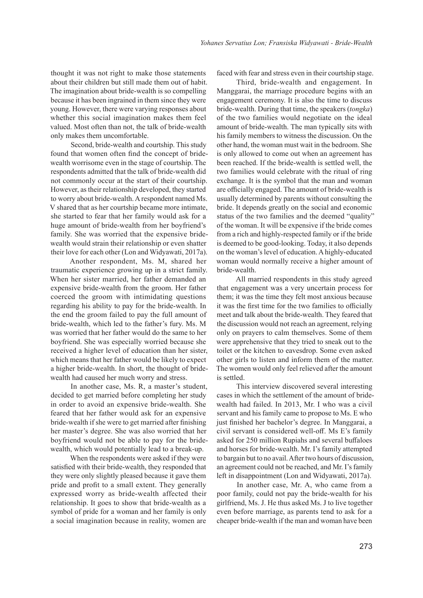thought it was not right to make those statements about their children but still made them out of habit. The imagination about bride-wealth is so compelling because it has been ingrained in them since they were young. However, there were varying responses about whether this social imagination makes them feel valued. Most often than not, the talk of bride-wealth only makes them uncomfortable.

Second, bride-wealth and courtship. This study found that women often find the concept of bridewealth worrisome even in the stage of courtship. The respondents admitted that the talk of bride-wealth did not commonly occur at the start of their courtship. However, as their relationship developed, they started to worry about bride-wealth. A respondent named Ms. V shared that as her courtship became more intimate, she started to fear that her family would ask for a huge amount of bride-wealth from her boyfriend's family. She was worried that the expensive bridewealth would strain their relationship or even shatter their love for each other (Lon and Widyawati, 2017a).

Another respondent, Ms. M, shared her traumatic experience growing up in a strict family. When her sister married, her father demanded an expensive bride-wealth from the groom. Her father coerced the groom with intimidating questions regarding his ability to pay for the bride-wealth. In the end the groom failed to pay the full amount of bride-wealth, which led to the father's fury. Ms. M was worried that her father would do the same to her boyfriend. She was especially worried because she received a higher level of education than her sister, which means that her father would be likely to expect a higher bride-wealth. In short, the thought of bridewealth had caused her much worry and stress.

In another case, Ms. R, a master's student, decided to get married before completing her study in order to avoid an expensive bride-wealth. She feared that her father would ask for an expensive bride-wealth if she were to get married after finishing her master's degree. She was also worried that her boyfriend would not be able to pay for the bridewealth, which would potentially lead to a break-up.

When the respondents were asked if they were satisfied with their bride-wealth, they responded that they were only slightly pleased because it gave them pride and profit to a small extent. They generally expressed worry as bride-wealth affected their relationship. It goes to show that bride-wealth as a symbol of pride for a woman and her family is only a social imagination because in reality, women are faced with fear and stress even in their courtship stage.

Third, bride-wealth and engagement. In Manggarai, the marriage procedure begins with an engagement ceremony. It is also the time to discuss bride-wealth. During that time, the speakers (*tongka*) of the two families would negotiate on the ideal amount of bride-wealth. The man typically sits with his family members to witness the discussion. On the other hand, the woman must wait in the bedroom. She is only allowed to come out when an agreement has been reached. If the bride-wealth is settled well, the two families would celebrate with the ritual of ring exchange. It is the symbol that the man and woman are officially engaged. The amount of bride-wealth is usually determined by parents without consulting the bride. It depends greatly on the social and economic status of the two families and the deemed "quality" of the woman. It will be expensive if the bride comes from a rich and highly-respected family or if the bride is deemed to be good-looking. Today, it also depends on the woman's level of education. A highly-educated woman would normally receive a higher amount of bride-wealth.

All married respondents in this study agreed that engagement was a very uncertain process for them; it was the time they felt most anxious because it was the first time for the two families to officially meet and talk about the bride-wealth. They feared that the discussion would not reach an agreement, relying only on prayers to calm themselves. Some of them were apprehensive that they tried to sneak out to the toilet or the kitchen to eavesdrop. Some even asked other girls to listen and inform them of the matter. The women would only feel relieved after the amount is settled.

This interview discovered several interesting cases in which the settlement of the amount of bridewealth had failed. In 2013, Mr. I who was a civil servant and his family came to propose to Ms. E who just finished her bachelor's degree. In Manggarai, a civil servant is considered well-off. Ms E's family asked for 250 million Rupiahs and several buffaloes and horses for bride-wealth. Mr. I's family attempted to bargain but to no avail. After two hours of discussion, an agreement could not be reached, and Mr. I's family left in disappointment (Lon and Widyawati, 2017a).

In another case, Mr. A, who came from a poor family, could not pay the bride-wealth for his girlfriend, Ms. J. He thus asked Ms. J to live together even before marriage, as parents tend to ask for a cheaper bride-wealth if the man and woman have been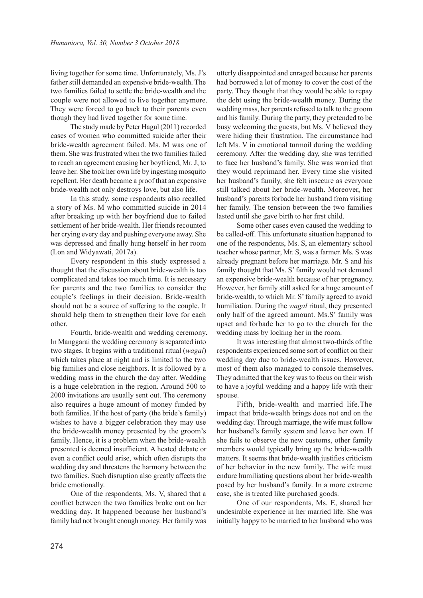living together for some time. Unfortunately, Ms. J's father still demanded an expensive bride-wealth. The two families failed to settle the bride-wealth and the couple were not allowed to live together anymore. They were forced to go back to their parents even though they had lived together for some time.

The study made by Peter Hagul (2011) recorded cases of women who committed suicide after their bride-wealth agreement failed. Ms. M was one of them. She was frustrated when the two families failed to reach an agreement causing her boyfriend, Mr. J, to leave her. She took her own life by ingesting mosquito repellent. Her death became a proof that an expensive bride-wealth not only destroys love, but also life.

In this study, some respondents also recalled a story of Ms. M who committed suicide in 2014 after breaking up with her boyfriend due to failed settlement of her bride-wealth. Her friends recounted her crying every day and pushing everyone away. She was depressed and finally hung herself in her room (Lon and Widyawati, 2017a).

Every respondent in this study expressed a thought that the discussion about bride-wealth is too complicated and takes too much time. It is necessary for parents and the two families to consider the couple's feelings in their decision. Bride-wealth should not be a source of suffering to the couple. It should help them to strengthen their love for each other.

Fourth, bride-wealth and wedding ceremony**.** In Manggarai the wedding ceremony is separated into two stages. It begins with a traditional ritual (*wagal*) which takes place at night and is limited to the two big families and close neighbors. It is followed by a wedding mass in the church the day after. Wedding is a huge celebration in the region. Around 500 to 2000 invitations are usually sent out. The ceremony also requires a huge amount of money funded by both families. If the host of party (the bride's family) wishes to have a bigger celebration they may use the bride-wealth money presented by the groom's family. Hence, it is a problem when the bride-wealth presented is deemed insufficient. A heated debate or even a conflict could arise, which often disrupts the wedding day and threatens the harmony between the two families. Such disruption also greatly affects the bride emotionally.

One of the respondents, Ms. V, shared that a conflict between the two families broke out on her wedding day. It happened because her husband's family had not brought enough money. Her family was utterly disappointed and enraged because her parents had borrowed a lot of money to cover the cost of the party. They thought that they would be able to repay the debt using the bride-wealth money. During the wedding mass, her parents refused to talk to the groom and his family. During the party, they pretended to be busy welcoming the guests, but Ms. V believed they were hiding their frustration. The circumstance had left Ms. V in emotional turmoil during the wedding ceremony. After the wedding day, she was terrified to face her husband's family. She was worried that they would reprimand her. Every time she visited her husband's family, she felt insecure as everyone still talked about her bride-wealth. Moreover, her husband's parents forbade her husband from visiting her family. The tension between the two families lasted until she gave birth to her first child.

Some other cases even caused the wedding to be called-off. This unfortunate situation happened to one of the respondents, Ms. S, an elementary school teacher whose partner, Mr. S, was a farmer. Ms. S was already pregnant before her marriage. Mr. S and his family thought that Ms. S' family would not demand an expensive bride-wealth because of her pregnancy. However, her family still asked for a huge amount of bride-wealth, to which Mr. S' family agreed to avoid humiliation. During the *wagal* ritual, they presented only half of the agreed amount. Ms.S' family was upset and forbade her to go to the church for the wedding mass by locking her in the room.

It was interesting that almost two-thirds of the respondents experienced some sort of conflict on their wedding day due to bride-wealth issues. However, most of them also managed to console themselves. They admitted that the key was to focus on their wish to have a joyful wedding and a happy life with their spouse.

Fifth, bride-wealth and married life.The impact that bride-wealth brings does not end on the wedding day. Through marriage, the wife must follow her husband's family system and leave her own. If she fails to observe the new customs, other family members would typically bring up the bride-wealth matters. It seems that bride-wealth justifies criticism of her behavior in the new family. The wife must endure humiliating questions about her bride-wealth posed by her husband's family. In a more extreme case, she is treated like purchased goods.

One of our respondents, Ms. E, shared her undesirable experience in her married life. She was initially happy to be married to her husband who was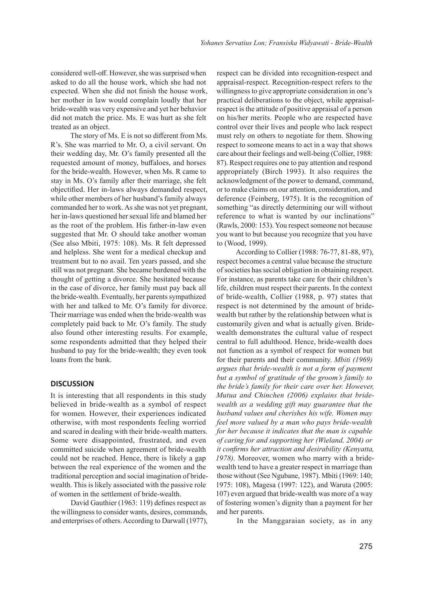considered well-off. However, she was surprised when asked to do all the house work, which she had not expected. When she did not finish the house work, her mother in law would complain loudly that her bride-wealth was very expensive and yet her behavior did not match the price. Ms. E was hurt as she felt treated as an object.

The story of Ms. E is not so different from Ms. R's. She was married to Mr. O, a civil servant. On their wedding day, Mr. O's family presented all the requested amount of money, buffaloes, and horses for the bride-wealth. However, when Ms. R came to stay in Ms. O's family after their marriage, she felt objectified. Her in-laws always demanded respect, while other members of her husband's family always commanded her to work. As she was not yet pregnant, her in-laws questioned her sexual life and blamed her as the root of the problem. His father-in-law even suggested that Mr. O should take another woman (See also Mbiti, 1975: 108). Ms. R felt depressed and helpless. She went for a medical checkup and treatment but to no avail. Ten years passed, and she still was not pregnant. She became burdened with the thought of getting a divorce. She hesitated because in the case of divorce, her family must pay back all the bride-wealth. Eventually, her parents sympathized with her and talked to Mr. O's family for divorce. Their marriage was ended when the bride-wealth was completely paid back to Mr. O's family. The study also found other interesting results. For example, some respondents admitted that they helped their husband to pay for the bride-wealth; they even took loans from the bank.

### **DISCUSSION**

It is interesting that all respondents in this study believed in bride-wealth as a symbol of respect for women. However, their experiences indicated otherwise, with most respondents feeling worried and scared in dealing with their bride-wealth matters. Some were disappointed, frustrated, and even committed suicide when agreement of bride-wealth could not be reached. Hence, there is likely a gap between the real experience of the women and the traditional perception and social imagination of bridewealth. This is likely associated with the passive role of women in the settlement of bride-wealth.

David Gauthier (1963: 119) defines respect as the willingness to consider wants, desires, commands, and enterprises of others. According to Darwall (1977),

respect can be divided into recognition-respect and appraisal-respect. Recognition-respect refers to the willingness to give appropriate consideration in one's practical deliberations to the object, while appraisalrespect is the attitude of positive appraisal of a person on his/her merits. People who are respected have control over their lives and people who lack respect must rely on others to negotiate for them. Showing respect to someone means to act in a way that shows care about their feelings and well-being (Collier, 1988: 87). Respect requires one to pay attention and respond appropriately (Birch 1993). It also requires the acknowledgment of the power to demand, command, or to make claims on our attention, consideration, and deference (Feinberg, 1975). It is the recognition of something "as directly determining our will without reference to what is wanted by our inclinations" (Rawls, 2000: 153). You respect someone not because you want to but because you recognize that you have to (Wood, 1999).

According to Collier (1988: 76-77, 81-88, 97), respect becomes a central value because the structure of societies has social obligation in obtaining respect. For instance, as parents take care for their children's life, children must respect their parents. In the context of bride-wealth, Collier (1988, p. 97) states that respect is not determined by the amount of bridewealth but rather by the relationship between what is customarily given and what is actually given. Bridewealth demonstrates the cultural value of respect central to full adulthood. Hence, bride-wealth does not function as a symbol of respect for women but for their parents and their community. *Mbiti (1969) argues that bride-wealth is not a form of payment but a symbol of gratitude of the groom's family to the bride's family for their care over her. However, Mutua and Chinchen (2006) explains that bridewealth as a wedding gift may guarantee that the husband values and cherishes his wife. Women may feel more valued by a man who pays bride-wealth for her because it indicates that the man is capable of caring for and supporting her (Wieland, 2004) or it confirms her attraction and desirability (Kenyatta, 1978).* Moreover, women who marry with a bridewealth tend to have a greater respect in marriage than those without (See Ngubane, 1987). Mbiti (1969: 140; 1975: 108), Magesa (1997: 122), and Waruta (2005: 107) even argued that bride-wealth was more of a way of fostering women's dignity than a payment for her and her parents.

In the Manggaraian society, as in any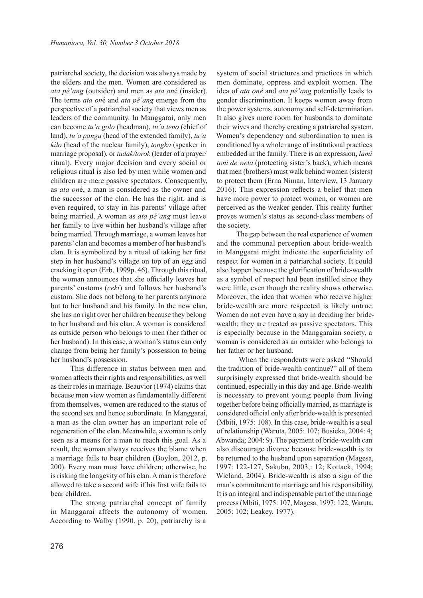patriarchal society, the decision was always made by the elders and the men. Women are considered as *ata pé'ang* (outsider) and men as *ata on*é (insider). The terms *ata on*é and *ata pé'ang* emerge from the perspective of a patriarchal society that views men as leaders of the community. In Manggarai, only men can become *tu'a golo* (headman), *tu'a teno* (chief of land), *tu'a panga* (head of the extended family), *tu'a kilo* (head of the nuclear family), *tongka* (speaker in marriage proposal), or *tudak/torok* (leader of a prayer/ ritual). Every major decision and every social or religious ritual is also led by men while women and children are mere passive spectators. Consequently, as *ata on*é, a man is considered as the owner and the successor of the clan. He has the right, and is even required, to stay in his parents' village after being married. A woman as *ata pé'ang* must leave her family to live within her husband's village after being married. Through marriage, a woman leaves her parents' clan and becomes a member of her husband's clan. It is symbolized by a ritual of taking her first step in her husband's village on top of an egg and cracking it open (Erb, 1999p. 46). Through this ritual, the woman announces that she officially leaves her parents' customs (*ceki*) and follows her husband's custom. She does not belong to her parents anymore but to her husband and his family. In the new clan, she has no right over her children because they belong to her husband and his clan. A woman is considered as outside person who belongs to men (her father or her husband). In this case, a woman's status can only change from being her family's possession to being her husband's possession.

This difference in status between men and women affects their rights and responsibilities, as well as their roles in marriage. Beauvior (1974) claims that because men view women as fundamentally different from themselves, women are reduced to the status of the second sex and hence subordinate. In Manggarai, a man as the clan owner has an important role of regeneration of the clan. Meanwhile, a woman is only seen as a means for a man to reach this goal. As a result, the woman always receives the blame when a marriage fails to bear children (Boylon, 2012, p. 200). Every man must have children; otherwise, he is risking the longevity of his clan. A man is therefore allowed to take a second wife if his first wife fails to bear children.

The strong patriarchal concept of family in Manggarai affects the autonomy of women. According to Walby (1990, p. 20), patriarchy is a system of social structures and practices in which men dominate, oppress and exploit women. The idea of *ata oné* and *ata pé'ang* potentially leads to gender discrimination. It keeps women away from the power systems, autonomy and self-determination. It also gives more room for husbands to dominate their wives and thereby creating a patriarchal system. Women's dependency and subordination to men is conditioned by a whole range of institutional practices embedded in the family. There is an expression, *lami toni de weta* (protecting sister's back), which means that men (brothers) must walk behind women (sisters) to protect them (Erna Niman, Interview, 13 January 2016). This expression reflects a belief that men have more power to protect women, or women are perceived as the weaker gender. This reality further proves women's status as second-class members of the society.

The gap between the real experience of women and the communal perception about bride-wealth in Manggarai might indicate the superficiality of respect for women in a patriarchal society. It could also happen because the glorification of bride-wealth as a symbol of respect had been instilled since they were little, even though the reality shows otherwise. Moreover, the idea that women who receive higher bride-wealth are more respected is likely untrue. Women do not even have a say in deciding her bridewealth; they are treated as passive spectators. This is especially because in the Manggaraian society, a woman is considered as an outsider who belongs to her father or her husband.

 When the respondents were asked "Should the tradition of bride-wealth continue?" all of them surprisingly expressed that bride-wealth should be continued, especially in this day and age. Bride-wealth is necessary to prevent young people from living together before being officially married, as marriage is considered official only after bride-wealth is presented (Mbiti, 1975: 108). In this case, bride-wealth is a seal of relationship (Waruta, 2005: 107; Busieka, 2004: 4; Abwanda; 2004: 9). The payment of bride-wealth can also discourage divorce because bride-wealth is to be returned to the husband upon separation (Magesa, 1997: 122-127, Sakubu, 2003,: 12; Kottack, 1994; Wieland, 2004). Bride-wealth is also a sign of the man's commitment to marriage and his responsibility. It is an integral and indispensable part of the marriage process (Mbiti, 1975: 107, Magesa, 1997: 122, Waruta, 2005: 102; Leakey, 1977).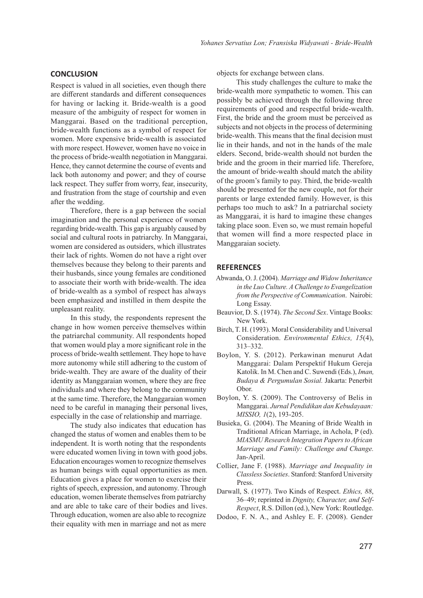## **CONCLUSION**

Respect is valued in all societies, even though there are different standards and different consequences for having or lacking it. Bride-wealth is a good measure of the ambiguity of respect for women in Manggarai. Based on the traditional perception, bride-wealth functions as a symbol of respect for women. More expensive bride-wealth is associated with more respect. However, women have no voice in the process of bride-wealth negotiation in Manggarai. Hence, they cannot determine the course of events and lack both autonomy and power; and they of course lack respect. They suffer from worry, fear, insecurity, and frustration from the stage of courtship and even after the wedding.

Therefore, there is a gap between the social imagination and the personal experience of women regarding bride-wealth. This gap is arguably caused by social and cultural roots in patriarchy. In Manggarai, women are considered as outsiders, which illustrates their lack of rights. Women do not have a right over themselves because they belong to their parents and their husbands, since young females are conditioned to associate their worth with bride-wealth. The idea of bride-wealth as a symbol of respect has always been emphasized and instilled in them despite the unpleasant reality.

In this study, the respondents represent the change in how women perceive themselves within the patriarchal community. All respondents hoped that women would play a more significant role in the process of bride-wealth settlement. They hope to have more autonomy while still adhering to the custom of bride-wealth. They are aware of the duality of their identity as Manggaraian women, where they are free individuals and where they belong to the community at the same time. Therefore, the Manggaraian women need to be careful in managing their personal lives, especially in the case of relationship and marriage.

The study also indicates that education has changed the status of women and enables them to be independent. It is worth noting that the respondents were educated women living in town with good jobs. Education encourages women to recognize themselves as human beings with equal opportunities as men. Education gives a place for women to exercise their rights of speech, expression, and autonomy. Through education, women liberate themselves from patriarchy and are able to take care of their bodies and lives. Through education, women are also able to recognize their equality with men in marriage and not as mere

objects for exchange between clans.

This study challenges the culture to make the bride-wealth more sympathetic to women. This can possibly be achieved through the following three requirements of good and respectful bride-wealth. First, the bride and the groom must be perceived as subjects and not objects in the process of determining bride-wealth. This means that the final decision must lie in their hands, and not in the hands of the male elders. Second, bride-wealth should not burden the bride and the groom in their married life. Therefore, the amount of bride-wealth should match the ability of the groom's family to pay. Third, the bride-wealth should be presented for the new couple, not for their parents or large extended family. However, is this perhaps too much to ask? In a patriarchal society as Manggarai, it is hard to imagine these changes taking place soon. Even so, we must remain hopeful that women will find a more respected place in Manggaraian society.

#### **REFERENCES**

- Abwanda, O. J. (2004). *Marriage and Widow Inheritance in the Luo Culture. A Challenge to Evangelization from the Perspective of Communication*. Nairobi: Long Essay.
- Beauvior, D. S. (1974). *The Second Sex*. Vintage Books: New York.
- Birch, T. H. (1993). Moral Considerability and Universal Consideration. *Environmental Ethics, 15*(4), 313–332.
- Boylon, Y. S. (2012). Perkawinan menurut Adat Manggarai: Dalam Perspektif Hukum Gereja Katolik. In M. Chen and C. Suwendi (Eds.), *Iman, Budaya & Pergumulan Sosial.* Jakarta: Penerbit Obor.
- Boylon, Y. S. (2009). The Controversy of Belis in Manggarai. *Jurnal Pendidikan dan Kebudayaan: MISSIO, 1*(2), 193-205.
- Busieka, G. (2004). The Meaning of Bride Wealth in Traditional African Marriage, in Achola, P (ed). *MIASMU Research Integration Papers to African Marriage and Family: Challenge and Change.* Jan-April.
- Collier, Jane F. (1988). *Marriage and Inequality in Classless Societies*. Stanford: Stanford University Press.
- Darwall, S. (1977). Two Kinds of Respect. *Ethics, 88*, 36–49; reprinted in *Dignity, Character, and Self-Respect*, R.S. Dillon (ed.), New York: Routledge.
- Dodoo, F. N. A., and Ashley E. F. (2008). Gender